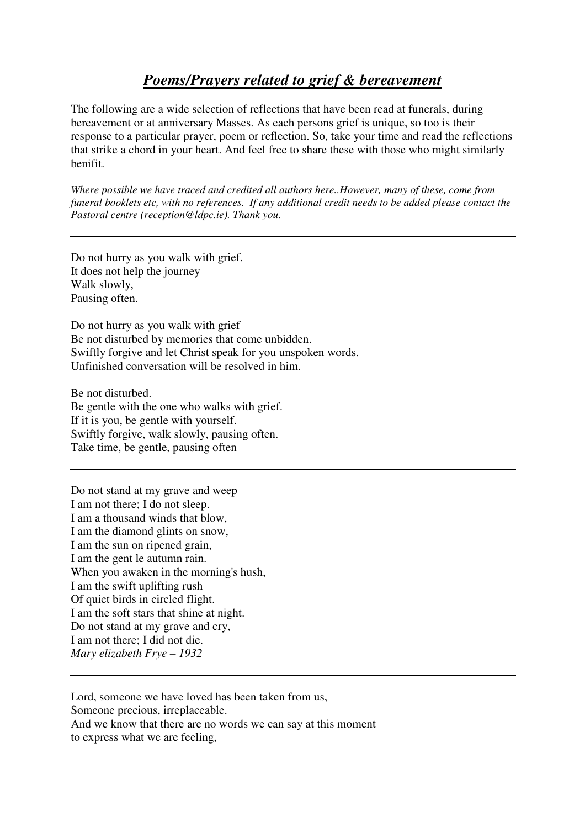# *Poems/Prayers related to grief & bereavement*

The following are a wide selection of reflections that have been read at funerals, during bereavement or at anniversary Masses. As each persons grief is unique, so too is their response to a particular prayer, poem or reflection. So, take your time and read the reflections that strike a chord in your heart. And feel free to share these with those who might similarly benifit.

*Where possible we have traced and credited all authors here..However, many of these, come from funeral booklets etc, with no references. If any additional credit needs to be added please contact the Pastoral centre (reception@ldpc.ie). Thank you.* 

Do not hurry as you walk with grief. It does not help the journey Walk slowly, Pausing often.

Do not hurry as you walk with grief Be not disturbed by memories that come unbidden. Swiftly forgive and let Christ speak for you unspoken words. Unfinished conversation will be resolved in him.

Be not disturbed. Be gentle with the one who walks with grief. If it is you, be gentle with yourself. Swiftly forgive, walk slowly, pausing often. Take time, be gentle, pausing often

Do not stand at my grave and weep I am not there; I do not sleep. I am a thousand winds that blow, I am the diamond glints on snow, I am the sun on ripened grain, I am the gent le autumn rain. When you awaken in the morning's hush, I am the swift uplifting rush Of quiet birds in circled flight. I am the soft stars that shine at night. Do not stand at my grave and cry, I am not there; I did not die. *Mary elizabeth Frye – 1932* 

Lord, someone we have loved has been taken from us, Someone precious, irreplaceable. And we know that there are no words we can say at this moment to express what we are feeling,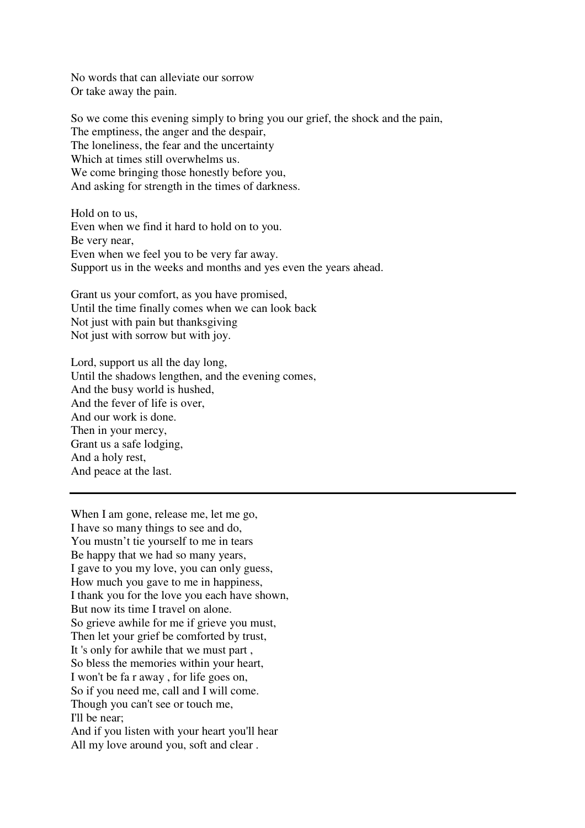No words that can alleviate our sorrow Or take away the pain.

So we come this evening simply to bring you our grief, the shock and the pain, The emptiness, the anger and the despair, The loneliness, the fear and the uncertainty Which at times still overwhelms us. We come bringing those honestly before you, And asking for strength in the times of darkness.

Hold on to us, Even when we find it hard to hold on to you. Be very near, Even when we feel you to be very far away. Support us in the weeks and months and yes even the years ahead.

Grant us your comfort, as you have promised, Until the time finally comes when we can look back Not just with pain but thanksgiving Not just with sorrow but with joy.

Lord, support us all the day long, Until the shadows lengthen, and the evening comes, And the busy world is hushed, And the fever of life is over, And our work is done. Then in your mercy, Grant us a safe lodging, And a holy rest, And peace at the last.

When I am gone, release me, let me go, I have so many things to see and do, You mustn't tie yourself to me in tears Be happy that we had so many years, I gave to you my love, you can only guess, How much you gave to me in happiness, I thank you for the love you each have shown, But now its time I travel on alone. So grieve awhile for me if grieve you must, Then let your grief be comforted by trust, It 's only for awhile that we must part , So bless the memories within your heart, I won't be fa r away , for life goes on, So if you need me, call and I will come. Though you can't see or touch me, I'll be near; And if you listen with your heart you'll hear All my love around you, soft and clear .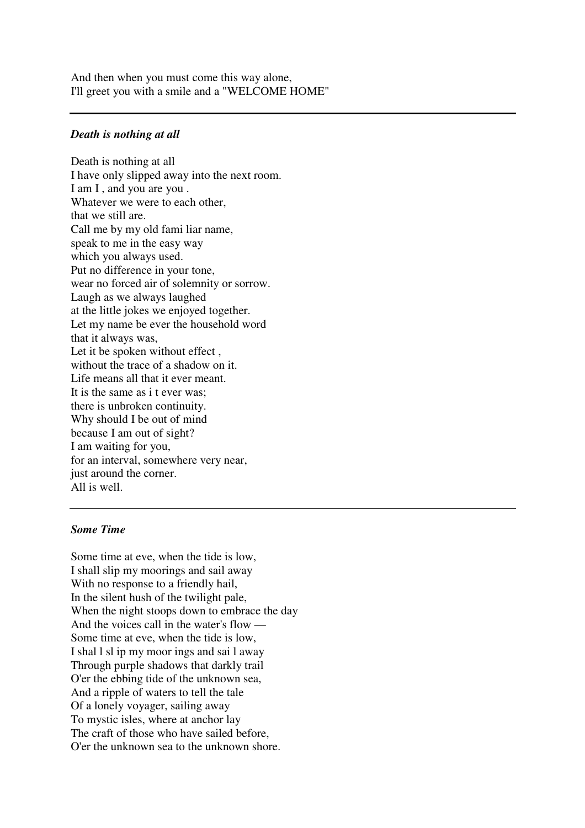And then when you must come this way alone, I'll greet you with a smile and a "WELCOME HOME"

#### *Death is nothing at all*

Death is nothing at all I have only slipped away into the next room. I am I, and you are you. Whatever we were to each other that we still are. Call me by my old fami liar name, speak to me in the easy way which you always used. Put no difference in your tone, wear no forced air of solemnity or sorrow. Laugh as we always laughed at the little jokes we enjoyed together. Let my name be ever the household word that it always was, Let it be spoken without effect , without the trace of a shadow on it. Life means all that it ever meant. It is the same as i t ever was; there is unbroken continuity. Why should I be out of mind because I am out of sight? I am waiting for you, for an interval, somewhere very near, just around the corner. All is well.

#### *Some Time*

Some time at eve, when the tide is low, I shall slip my moorings and sail away With no response to a friendly hail, In the silent hush of the twilight pale, When the night stoops down to embrace the day And the voices call in the water's flow — Some time at eve, when the tide is low, I shal l sl ip my moor ings and sai l away Through purple shadows that darkly trail O'er the ebbing tide of the unknown sea, And a ripple of waters to tell the tale Of a lonely voyager, sailing away To mystic isles, where at anchor lay The craft of those who have sailed before, O'er the unknown sea to the unknown shore.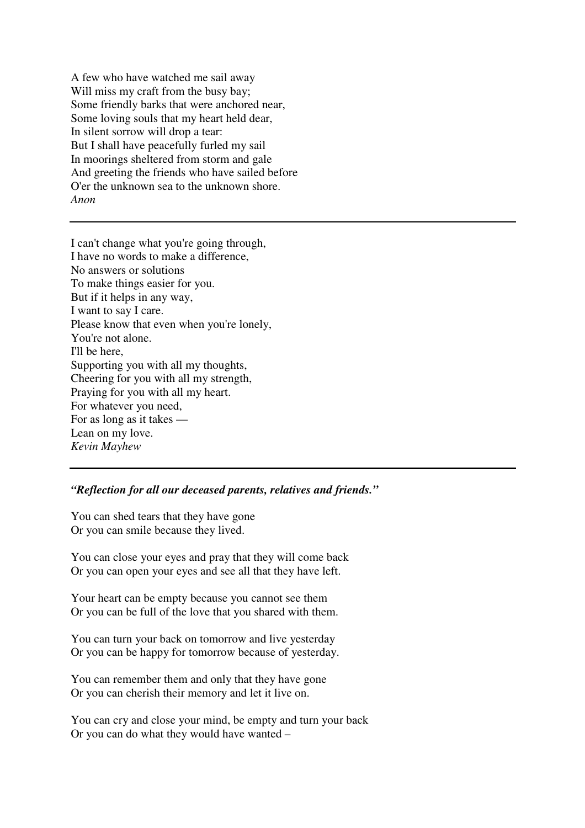A few who have watched me sail away Will miss my craft from the busy bay; Some friendly barks that were anchored near, Some loving souls that my heart held dear, In silent sorrow will drop a tear: But I shall have peacefully furled my sail In moorings sheltered from storm and gale And greeting the friends who have sailed before O'er the unknown sea to the unknown shore. *Anon* 

I can't change what you're going through, I have no words to make a difference, No answers or solutions To make things easier for you. But if it helps in any way, I want to say I care. Please know that even when you're lonely, You're not alone. I'll be here, Supporting you with all my thoughts, Cheering for you with all my strength, Praying for you with all my heart. For whatever you need, For as long as it takes — Lean on my love. *Kevin Mayhew* 

# *"Reflection for all our deceased parents, relatives and friends."*

You can shed tears that they have gone Or you can smile because they lived.

You can close your eyes and pray that they will come back Or you can open your eyes and see all that they have left.

Your heart can be empty because you cannot see them Or you can be full of the love that you shared with them.

You can turn your back on tomorrow and live yesterday Or you can be happy for tomorrow because of yesterday.

You can remember them and only that they have gone Or you can cherish their memory and let it live on.

You can cry and close your mind, be empty and turn your back Or you can do what they would have wanted –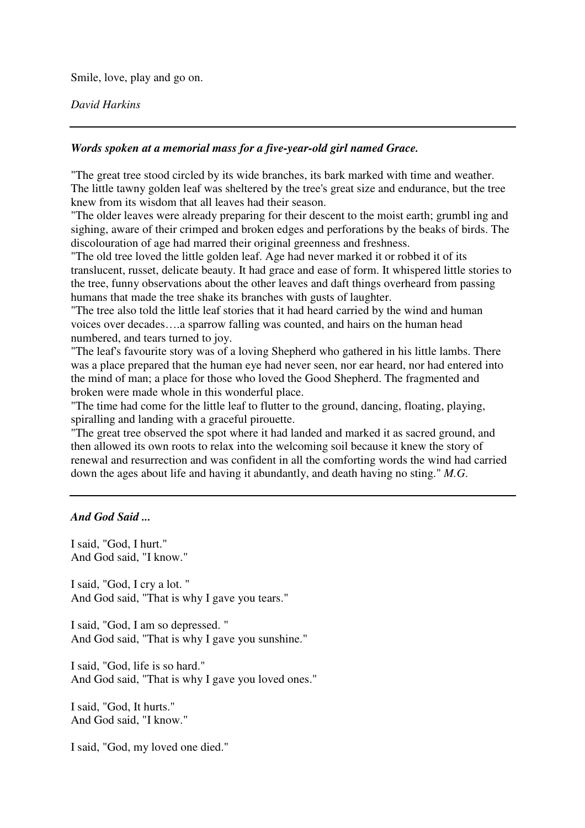Smile, love, play and go on.

# *David Harkins*

# *Words spoken at a memorial mass for a five-year-old girl named Grace.*

"The great tree stood circled by its wide branches, its bark marked with time and weather. The little tawny golden leaf was sheltered by the tree's great size and endurance, but the tree knew from its wisdom that all leaves had their season.

"The older leaves were already preparing for their descent to the moist earth; grumbl ing and sighing, aware of their crimped and broken edges and perforations by the beaks of birds. The discolouration of age had marred their original greenness and freshness.

"The old tree loved the little golden leaf. Age had never marked it or robbed it of its translucent, russet, delicate beauty. It had grace and ease of form. It whispered little stories to the tree, funny observations about the other leaves and daft things overheard from passing humans that made the tree shake its branches with gusts of laughter.

"The tree also told the little leaf stories that it had heard carried by the wind and human voices over decades….a sparrow falling was counted, and hairs on the human head numbered, and tears turned to joy.

"The leaf's favourite story was of a loving Shepherd who gathered in his little lambs. There was a place prepared that the human eye had never seen, nor ear heard, nor had entered into the mind of man; a place for those who loved the Good Shepherd. The fragmented and broken were made whole in this wonderful place.

"The time had come for the little leaf to flutter to the ground, dancing, floating, playing, spiralling and landing with a graceful pirouette.

"The great tree observed the spot where it had landed and marked it as sacred ground, and then allowed its own roots to relax into the welcoming soil because it knew the story of renewal and resurrection and was confident in all the comforting words the wind had carried down the ages about life and having it abundantly, and death having no sting." *M.G*.

#### *And God Said ...*

I said, "God, I hurt." And God said, "I know."

I said, "God, I cry a lot. " And God said, "That is why I gave you tears."

I said, "God, I am so depressed. " And God said, "That is why I gave you sunshine."

I said, "God, life is so hard." And God said, "That is why I gave you loved ones."

I said, "God, It hurts." And God said, "I know."

I said, "God, my loved one died."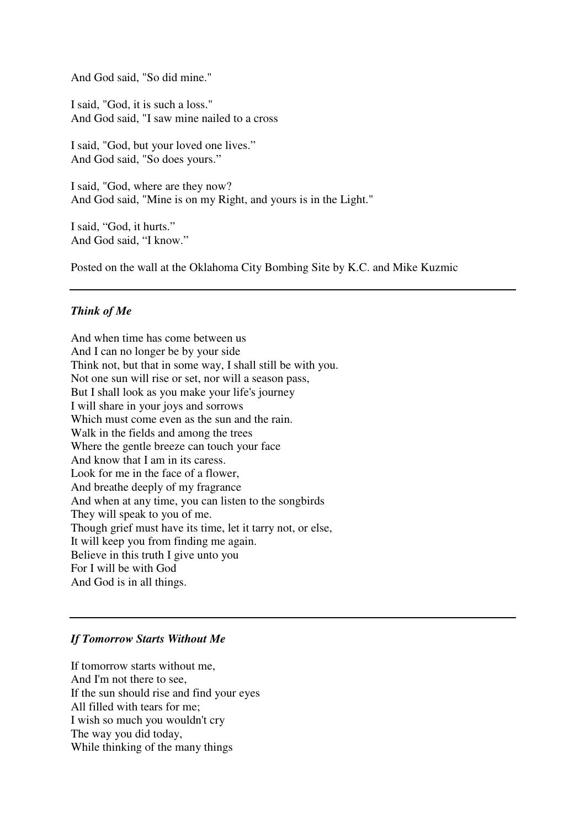And God said, "So did mine."

I said, "God, it is such a loss." And God said, "I saw mine nailed to a cross

I said, "God, but your loved one lives." And God said, "So does yours."

I said, "God, where are they now? And God said, "Mine is on my Right, and yours is in the Light."

I said, "God, it hurts." And God said, "I know."

Posted on the wall at the Oklahoma City Bombing Site by K.C. and Mike Kuzmic

# *Think of Me*

And when time has come between us And I can no longer be by your side Think not, but that in some way, I shall still be with you. Not one sun will rise or set, nor will a season pass, But I shall look as you make your life's journey I will share in your joys and sorrows Which must come even as the sun and the rain. Walk in the fields and among the trees Where the gentle breeze can touch your face And know that I am in its caress. Look for me in the face of a flower, And breathe deeply of my fragrance And when at any time, you can listen to the songbirds They will speak to you of me. Though grief must have its time, let it tarry not, or else, It will keep you from finding me again. Believe in this truth I give unto you For I will be with God And God is in all things.

#### *If Tomorrow Starts Without Me*

If tomorrow starts without me, And I'm not there to see, If the sun should rise and find your eyes All filled with tears for me; I wish so much you wouldn't cry The way you did today, While thinking of the many things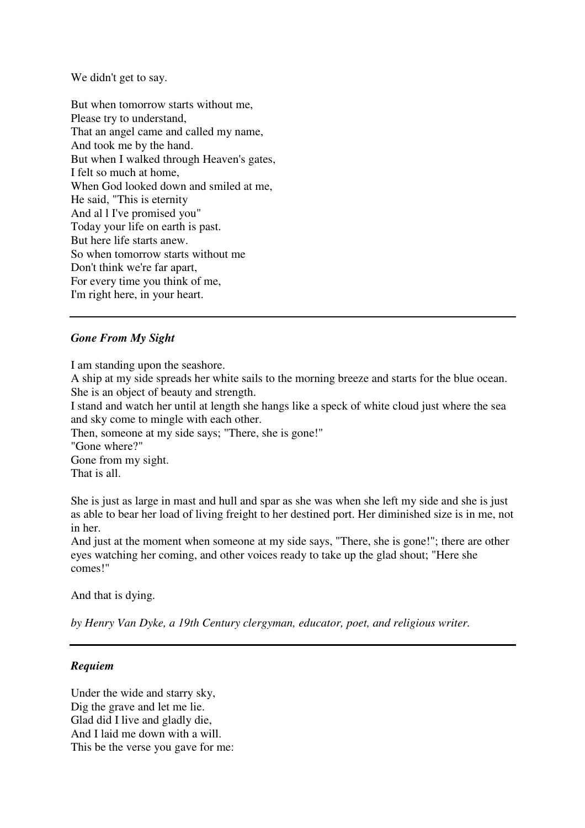We didn't get to say.

But when tomorrow starts without me, Please try to understand, That an angel came and called my name, And took me by the hand. But when I walked through Heaven's gates, I felt so much at home, When God looked down and smiled at me, He said, "This is eternity And al l I've promised you" Today your life on earth is past. But here life starts anew. So when tomorrow starts without me Don't think we're far apart, For every time you think of me, I'm right here, in your heart.

# *Gone From My Sight*

I am standing upon the seashore.

A ship at my side spreads her white sails to the morning breeze and starts for the blue ocean. She is an object of beauty and strength.

I stand and watch her until at length she hangs like a speck of white cloud just where the sea and sky come to mingle with each other.

Then, someone at my side says; "There, she is gone!"

"Gone where?"

Gone from my sight. That is all.

She is just as large in mast and hull and spar as she was when she left my side and she is just as able to bear her load of living freight to her destined port. Her diminished size is in me, not in her.

And just at the moment when someone at my side says, "There, she is gone!"; there are other eyes watching her coming, and other voices ready to take up the glad shout; "Here she comes!"

And that is dying.

*by Henry Van Dyke, a 19th Century clergyman, educator, poet, and religious writer.* 

# *Requiem*

Under the wide and starry sky, Dig the grave and let me lie. Glad did I live and gladly die, And I laid me down with a will. This be the verse you gave for me: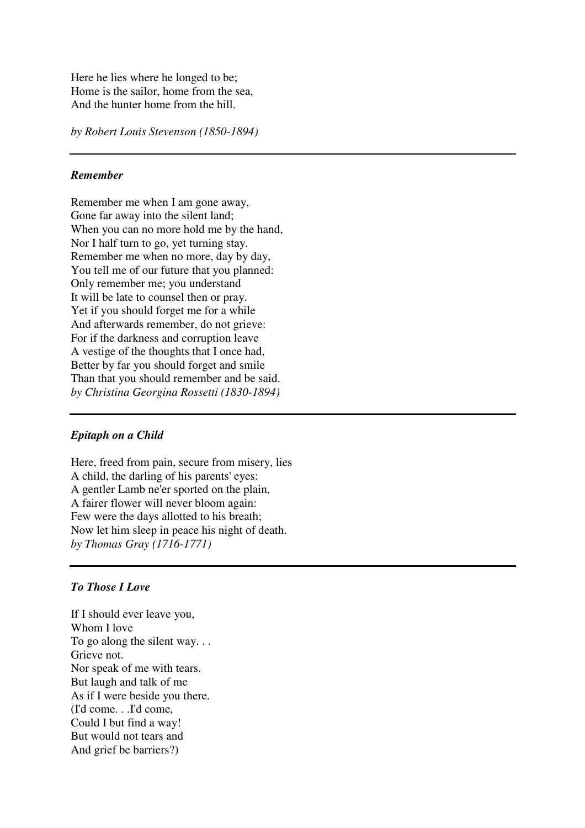Here he lies where he longed to be; Home is the sailor, home from the sea, And the hunter home from the hill.

*by Robert Louis Stevenson (1850-1894)* 

#### *Remember*

Remember me when I am gone away, Gone far away into the silent land; When you can no more hold me by the hand, Nor I half turn to go, yet turning stay. Remember me when no more, day by day, You tell me of our future that you planned: Only remember me; you understand It will be late to counsel then or pray. Yet if you should forget me for a while And afterwards remember, do not grieve: For if the darkness and corruption leave A vestige of the thoughts that I once had, Better by far you should forget and smile Than that you should remember and be said. *by Christina Georgina Rossetti (1830-1894)* 

# *Epitaph on a Child*

Here, freed from pain, secure from misery, lies A child, the darling of his parents' eyes: A gentler Lamb ne'er sported on the plain, A fairer flower will never bloom again: Few were the days allotted to his breath; Now let him sleep in peace his night of death. *by Thomas Gray (1716-1771)* 

# *To Those I Love*

If I should ever leave you, Whom I love To go along the silent way. . . Grieve not. Nor speak of me with tears. But laugh and talk of me As if I were beside you there. (I'd come. . .I'd come, Could I but find a way! But would not tears and And grief be barriers?)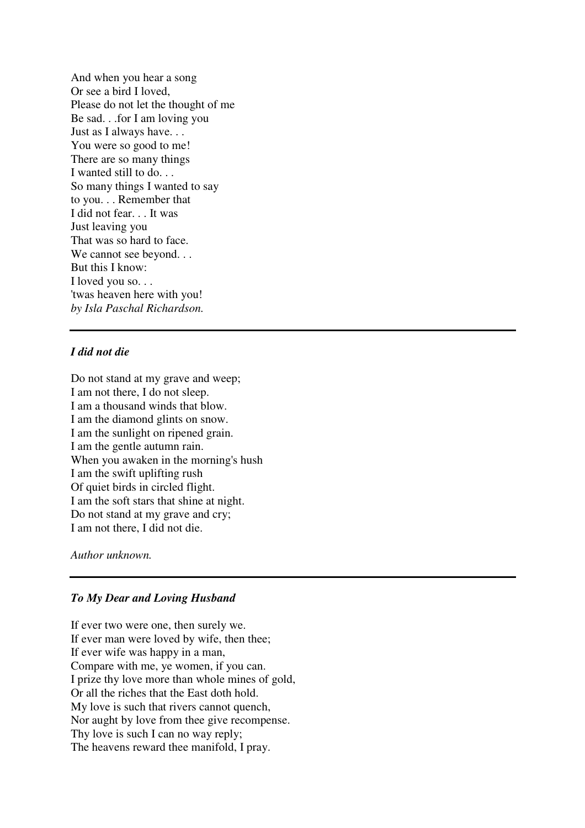And when you hear a song Or see a bird I loved, Please do not let the thought of me Be sad. . .for I am loving you Just as I always have. . . You were so good to me! There are so many things I wanted still to do. . . So many things I wanted to say to you. . . Remember that I did not fear. . . It was Just leaving you That was so hard to face. We cannot see beyond... But this I know: I loved you so. . . 'twas heaven here with you! *by Isla Paschal Richardson.* 

#### *I did not die*

Do not stand at my grave and weep; I am not there, I do not sleep. I am a thousand winds that blow. I am the diamond glints on snow. I am the sunlight on ripened grain. I am the gentle autumn rain. When you awaken in the morning's hush I am the swift uplifting rush Of quiet birds in circled flight. I am the soft stars that shine at night. Do not stand at my grave and cry; I am not there, I did not die.

*Author unknown.* 

# *To My Dear and Loving Husband*

If ever two were one, then surely we. If ever man were loved by wife, then thee; If ever wife was happy in a man, Compare with me, ye women, if you can. I prize thy love more than whole mines of gold, Or all the riches that the East doth hold. My love is such that rivers cannot quench, Nor aught by love from thee give recompense. Thy love is such I can no way reply; The heavens reward thee manifold, I pray.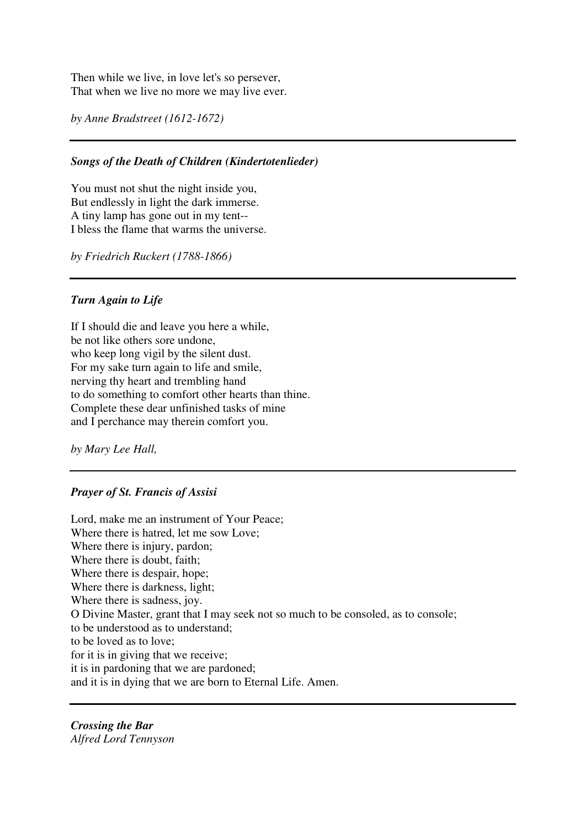Then while we live, in love let's so persever, That when we live no more we may live ever.

*by Anne Bradstreet (1612-1672)* 

# *Songs of the Death of Children (Kindertotenlieder)*

You must not shut the night inside you, But endlessly in light the dark immerse. A tiny lamp has gone out in my tent-- I bless the flame that warms the universe.

*by Friedrich Ruckert (1788-1866)* 

# *Turn Again to Life*

If I should die and leave you here a while, be not like others sore undone, who keep long vigil by the silent dust. For my sake turn again to life and smile, nerving thy heart and trembling hand to do something to comfort other hearts than thine. Complete these dear unfinished tasks of mine and I perchance may therein comfort you.

*by Mary Lee Hall,* 

# *Prayer of St. Francis of Assisi*

Lord, make me an instrument of Your Peace; Where there is hatred, let me sow Love; Where there is injury, pardon; Where there is doubt, faith; Where there is despair, hope; Where there is darkness, light; Where there is sadness, joy. O Divine Master, grant that I may seek not so much to be consoled, as to console; to be understood as to understand; to be loved as to love; for it is in giving that we receive; it is in pardoning that we are pardoned; and it is in dying that we are born to Eternal Life. Amen.

*Crossing the Bar Alfred Lord Tennyson*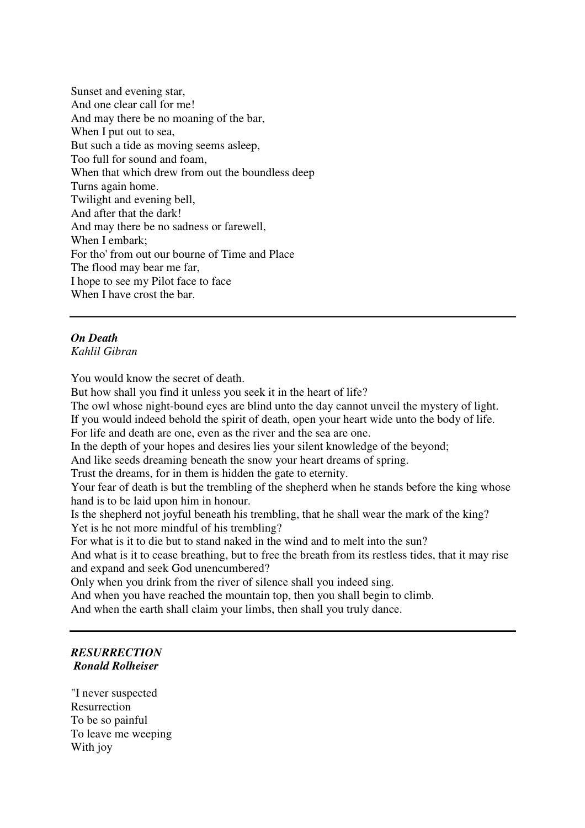Sunset and evening star, And one clear call for me! And may there be no moaning of the bar, When I put out to sea, But such a tide as moving seems asleep, Too full for sound and foam, When that which drew from out the boundless deep Turns again home. Twilight and evening bell, And after that the dark! And may there be no sadness or farewell, When I embark; For tho' from out our bourne of Time and Place The flood may bear me far, I hope to see my Pilot face to face When I have crost the bar.

# *On Death*

*Kahlil Gibran* 

You would know the secret of death.

But how shall you find it unless you seek it in the heart of life?

The owl whose night-bound eyes are blind unto the day cannot unveil the mystery of light.

If you would indeed behold the spirit of death, open your heart wide unto the body of life. For life and death are one, even as the river and the sea are one.

In the depth of your hopes and desires lies your silent knowledge of the beyond;

And like seeds dreaming beneath the snow your heart dreams of spring.

Trust the dreams, for in them is hidden the gate to eternity.

Your fear of death is but the trembling of the shepherd when he stands before the king whose hand is to be laid upon him in honour.

Is the shepherd not joyful beneath his trembling, that he shall wear the mark of the king? Yet is he not more mindful of his trembling?

For what is it to die but to stand naked in the wind and to melt into the sun?

And what is it to cease breathing, but to free the breath from its restless tides, that it may rise and expand and seek God unencumbered?

Only when you drink from the river of silence shall you indeed sing.

And when you have reached the mountain top, then you shall begin to climb.

And when the earth shall claim your limbs, then shall you truly dance.

# *RESURRECTION Ronald Rolheiser*

"I never suspected Resurrection To be so painful To leave me weeping With joy